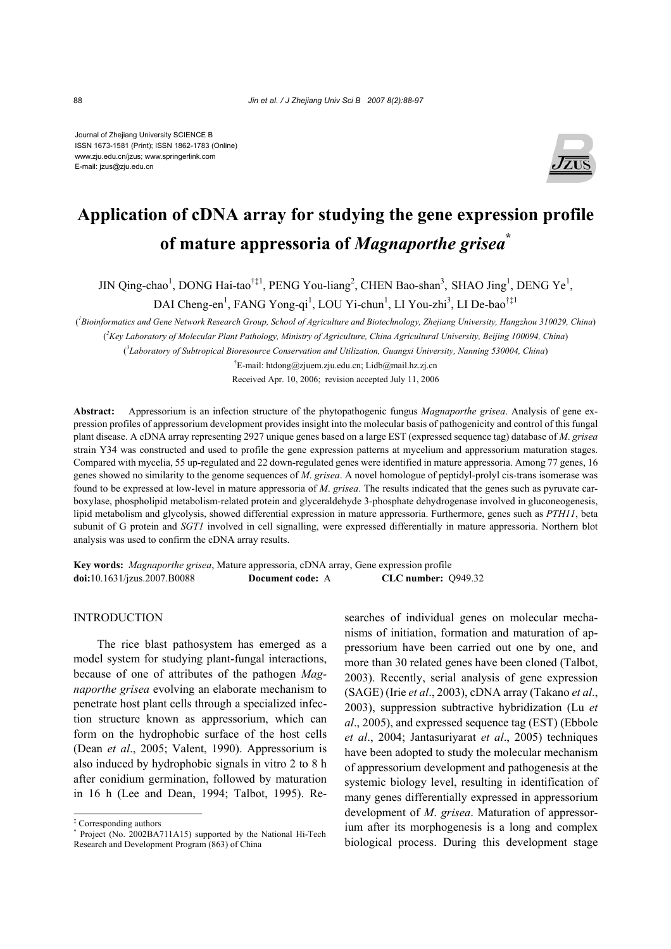Journal of Zhejiang University SCIENCE B ISSN 1673-1581 (Print); ISSN 1862-1783 (Online) www.zju.edu.cn/jzus; www.springerlink.com E-mail: jzus@zju.edu.cn



# **Application of cDNA array for studying the gene expression profile of mature appressoria of** *Magnaporthe grisea***\***

JIN Qing-chao<sup>1</sup>, DONG Hai-tao<sup>†‡1</sup>, PENG You-liang<sup>2</sup>, CHEN Bao-shan<sup>3</sup>, SHAO Jing<sup>1</sup>, DENG Ye<sup>1</sup>,

DAI Cheng-en<sup>1</sup>, FANG Yong-qi<sup>1</sup>, LOU Yi-chun<sup>1</sup>, LI You-zhi<sup>3</sup>, LI De-bao<sup>†‡1</sup>

( *1 Bioinformatics and Gene Network Research Group, School of Agriculture and Biotechnology, Zhejiang University, Hangzhou 310029, China*) ( *2 Key Laboratory of Molecular Plant Pathology, Ministry of Agriculture, China Agricultural University, Beijing 100094, China*)

( *3 Laboratory of Subtropical Bioresource Conservation and Utilization, Guangxi University, Nanning 530004, China*)

† E-mail: htdong@zjuem.zju.edu.cn; Lidb@mail.hz.zj.cn

Received Apr. 10, 2006; revision accepted July 11, 2006

**Abstract:** Appressorium is an infection structure of the phytopathogenic fungus *Magnaporthe grisea*. Analysis of gene expression profiles of appressorium development provides insight into the molecular basis of pathogenicity and control of this fungal plant disease. A cDNA array representing 2927 unique genes based on a large EST (expressed sequence tag) database of *M*. *grisea* strain Y34 was constructed and used to profile the gene expression patterns at mycelium and appressorium maturation stages. Compared with mycelia, 55 up-regulated and 22 down-regulated genes were identified in mature appressoria. Among 77 genes, 16 genes showed no similarity to the genome sequences of *M*. *grisea*. A novel homologue of peptidyl-prolyl cis-trans isomerase was found to be expressed at low-level in mature appressoria of *M*. *grisea*. The results indicated that the genes such as pyruvate carboxylase, phospholipid metabolism-related protein and glyceraldehyde 3-phosphate dehydrogenase involved in gluconeogenesis, lipid metabolism and glycolysis, showed differential expression in mature appressoria. Furthermore, genes such as *PTH11*, beta subunit of G protein and *SGT1* involved in cell signalling, were expressed differentially in mature appressoria. Northern blot analysis was used to confirm the cDNA array results.

**Key words:** *Magnaporthe grisea*, Mature appressoria, cDNA array, Gene expression profile **doi:**10.1631/jzus.2007.B0088 **Document code:** A **CLC number:** Q949.32

# INTRODUCTION

The rice blast pathosystem has emerged as a model system for studying plant-fungal interactions, because of one of attributes of the pathogen *Magnaporthe grisea* evolving an elaborate mechanism to penetrate host plant cells through a specialized infection structure known as appressorium, which can form on the hydrophobic surface of the host cells (Dean *et al*., 2005; Valent, 1990). Appressorium is also induced by hydrophobic signals in vitro 2 to 8 h after conidium germination, followed by maturation in 16 h (Lee and Dean, 1994; Talbot, 1995). Researches of individual genes on molecular mechanisms of initiation, formation and maturation of appressorium have been carried out one by one, and more than 30 related genes have been cloned (Talbot, 2003). Recently, serial analysis of gene expression (SAGE) (Irie *et al*., 2003), cDNA array (Takano *et al*., 2003), suppression subtractive hybridization (Lu *et al*., 2005), and expressed sequence tag (EST) (Ebbole *et al*., 2004; Jantasuriyarat *et al*., 2005) techniques have been adopted to study the molecular mechanism of appressorium development and pathogenesis at the systemic biology level, resulting in identification of many genes differentially expressed in appressorium development of *M*. *grisea*. Maturation of appressorium after its morphogenesis is a long and complex biological process. During this development stage

<sup>‡</sup> Corresponding authors

<sup>\*</sup> Project (No. 2002BA711A15) supported by the National Hi-Tech Research and Development Program (863) of China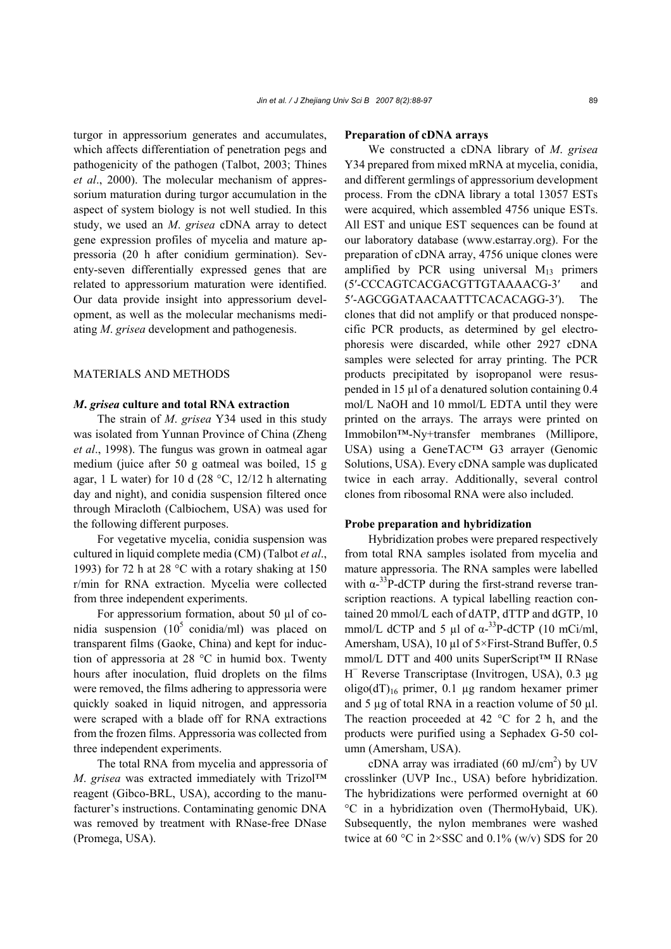turgor in appressorium generates and accumulates, which affects differentiation of penetration pegs and pathogenicity of the pathogen (Talbot, 2003; Thines *et al*., 2000). The molecular mechanism of appressorium maturation during turgor accumulation in the aspect of system biology is not well studied. In this study, we used an *M*. *grisea* cDNA array to detect gene expression profiles of mycelia and mature appressoria (20 h after conidium germination). Seventy-seven differentially expressed genes that are related to appressorium maturation were identified. Our data provide insight into appressorium development, as well as the molecular mechanisms mediating *M*. *grisea* development and pathogenesis.

# MATERIALS AND METHODS

# *M***.** *grisea* **culture and total RNA extraction**

The strain of *M*. *grisea* Y34 used in this study was isolated from Yunnan Province of China (Zheng *et al*., 1998). The fungus was grown in oatmeal agar medium (juice after 50 g oatmeal was boiled, 15 g agar, 1 L water) for 10 d (28 °C, 12/12 h alternating day and night), and conidia suspension filtered once through Miracloth (Calbiochem, USA) was used for the following different purposes.

For vegetative mycelia, conidia suspension was cultured in liquid complete media (CM) (Talbot *et al*., 1993) for 72 h at 28  $^{\circ}$ C with a rotary shaking at 150 r/min for RNA extraction. Mycelia were collected from three independent experiments.

For appressorium formation, about 50 µl of conidia suspension  $(10^5 \text{ conidia/ml})$  was placed on transparent films (Gaoke, China) and kept for induction of appressoria at 28 °C in humid box. Twenty hours after inoculation, fluid droplets on the films were removed, the films adhering to appressoria were quickly soaked in liquid nitrogen, and appressoria were scraped with a blade off for RNA extractions from the frozen films. Appressoria was collected from three independent experiments.

The total RNA from mycelia and appressoria of *M*. *grisea* was extracted immediately with Trizol™ reagent (Gibco-BRL, USA), according to the manufacturer's instructions. Contaminating genomic DNA was removed by treatment with RNase-free DNase (Promega, USA).

#### **Preparation of cDNA arrays**

We constructed a cDNA library of *M*. *grisea* Y34 prepared from mixed mRNA at mycelia, conidia, and different germlings of appressorium development process. From the cDNA library a total 13057 ESTs were acquired, which assembled 4756 unique ESTs. All EST and unique EST sequences can be found at our laboratory database (www.estarray.org). For the preparation of cDNA array, 4756 unique clones were amplified by PCR using universal  $M_{13}$  primers (5′-CCCAGTCACGACGTTGTAAAACG-3′ and 5′-AGCGGATAACAATTTCACACAGG-3′). The clones that did not amplify or that produced nonspecific PCR products, as determined by gel electrophoresis were discarded, while other 2927 cDNA samples were selected for array printing. The PCR products precipitated by isopropanol were resuspended in 15 µl of a denatured solution containing 0.4 mol/L NaOH and 10 mmol/L EDTA until they were printed on the arrays. The arrays were printed on Immobilon™-Ny+transfer membranes (Millipore, USA) using a GeneTAC™ G3 arrayer (Genomic Solutions, USA). Every cDNA sample was duplicated twice in each array. Additionally, several control clones from ribosomal RNA were also included.

#### **Probe preparation and hybridization**

Hybridization probes were prepared respectively from total RNA samples isolated from mycelia and mature appressoria. The RNA samples were labelled with  $\alpha$ <sup>-33</sup>P-dCTP during the first-strand reverse transcription reactions. A typical labelling reaction contained 20 mmol/L each of dATP, dTTP and dGTP, 10 mmol/L dCTP and 5  $\mu$ l of  $\alpha$ <sup>-33</sup>P-dCTP (10 mCi/ml, Amersham, USA), 10 µl of 5×First-Strand Buffer, 0.5 mmol/L DTT and 400 units SuperScript™ II RNase H− Reverse Transcriptase (Invitrogen, USA), 0.3 µg oligo(dT) $_{16}$  primer, 0.1 µg random hexamer primer and 5 µg of total RNA in a reaction volume of 50 µl. The reaction proceeded at 42 °C for 2 h, and the products were purified using a Sephadex G-50 column (Amersham, USA).

cDNA array was irradiated  $(60 \text{ mJ/cm}^2)$  by UV crosslinker (UVP Inc., USA) before hybridization. The hybridizations were performed overnight at 60 °C in a hybridization oven (ThermoHybaid, UK). Subsequently, the nylon membranes were washed twice at 60 °C in  $2 \times$ SSC and 0.1% (w/v) SDS for 20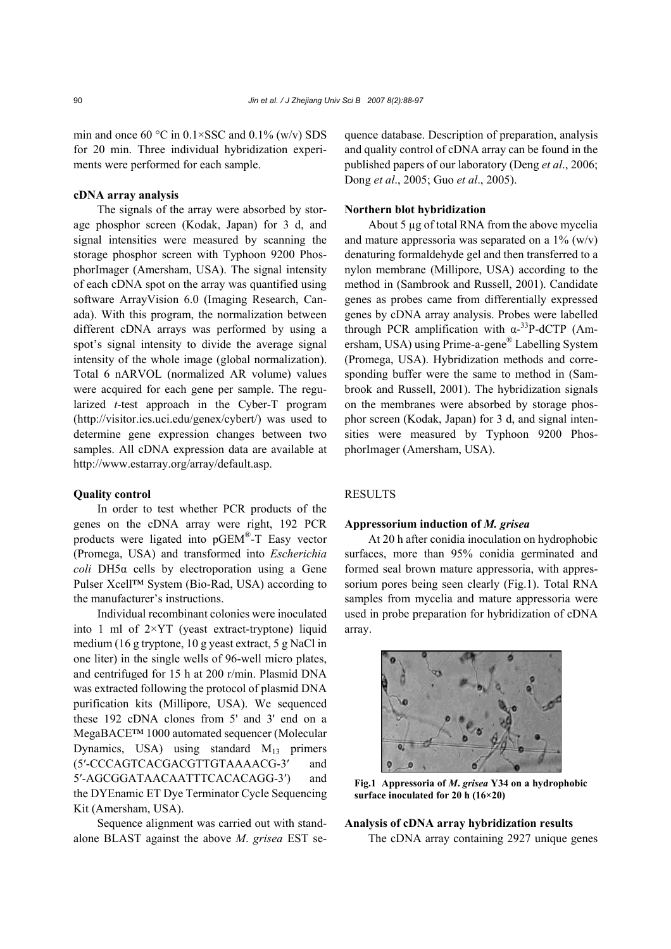min and once 60 °C in  $0.1 \times SSC$  and  $0.1\%$  (w/v) SDS for 20 min. Three individual hybridization experiments were performed for each sample.

### **cDNA array analysis**

The signals of the array were absorbed by storage phosphor screen (Kodak, Japan) for 3 d, and signal intensities were measured by scanning the storage phosphor screen with Typhoon 9200 PhosphorImager (Amersham, USA). The signal intensity of each cDNA spot on the array was quantified using software ArrayVision 6.0 (Imaging Research, Canada). With this program, the normalization between different cDNA arrays was performed by using a spot's signal intensity to divide the average signal intensity of the whole image (global normalization). Total 6 nARVOL (normalized AR volume) values were acquired for each gene per sample. The regularized *t*-test approach in the Cyber-T program (http://visitor.ics.uci.edu/genex/cybert/) was used to determine gene expression changes between two samples. All cDNA expression data are available at http://www.estarray.org/array/default.asp.

# **Quality control**

In order to test whether PCR products of the genes on the cDNA array were right, 192 PCR products were ligated into pGEM®-T Easy vector (Promega, USA) and transformed into *Escherichia coli* DH5α cells by electroporation using a Gene Pulser Xcell™ System (Bio-Rad, USA) according to the manufacturer's instructions.

Individual recombinant colonies were inoculated into 1 ml of  $2\times$ YT (yeast extract-tryptone) liquid medium (16 g tryptone, 10 g yeast extract, 5 g NaCl in one liter) in the single wells of 96-well micro plates, and centrifuged for 15 h at 200 r/min. Plasmid DNA was extracted following the protocol of plasmid DNA purification kits (Millipore, USA). We sequenced these 192 cDNA clones from 5' and 3' end on a MegaBACE™ 1000 automated sequencer (Molecular Dynamics, USA) using standard  $M_{13}$  primers (5′-CCCAGTCACGACGTTGTAAAACG-3′ and 5′-AGCGGATAACAATTTCACACAGG-3′) and the DYEnamic ET Dye Terminator Cycle Sequencing Kit (Amersham, USA).

Sequence alignment was carried out with standalone BLAST against the above *M*. *grisea* EST sequence database. Description of preparation, analysis and quality control of cDNA array can be found in the published papers of our laboratory (Deng *et al*., 2006; Dong *et al*., 2005; Guo *et al*., 2005).

# **Northern blot hybridization**

About 5 µg of total RNA from the above mycelia and mature appressoria was separated on a  $1\%$  (w/v) denaturing formaldehyde gel and then transferred to a nylon membrane (Millipore, USA) according to the method in (Sambrook and Russell, 2001). Candidate genes as probes came from differentially expressed genes by cDNA array analysis. Probes were labelled through PCR amplification with  $\alpha$ -<sup>33</sup>P-dCTP (Amersham, USA) using Prime-a-gene® Labelling System (Promega, USA). Hybridization methods and corresponding buffer were the same to method in (Sambrook and Russell, 2001). The hybridization signals on the membranes were absorbed by storage phosphor screen (Kodak, Japan) for 3 d, and signal intensities were measured by Typhoon 9200 PhosphorImager (Amersham, USA).

# **RESULTS**

#### **Appressorium induction of** *M. grisea*

At 20 h after conidia inoculation on hydrophobic surfaces, more than 95% conidia germinated and formed seal brown mature appressoria, with appressorium pores being seen clearly (Fig.1). Total RNA samples from mycelia and mature appressoria were used in probe preparation for hybridization of cDNA array.



**Fig.1 Appressoria of** *M***.** *grisea* **Y34 on a hydrophobic surface inoculated for 20 h (16×20)**

# **Analysis of cDNA array hybridization results**

The cDNA array containing 2927 unique genes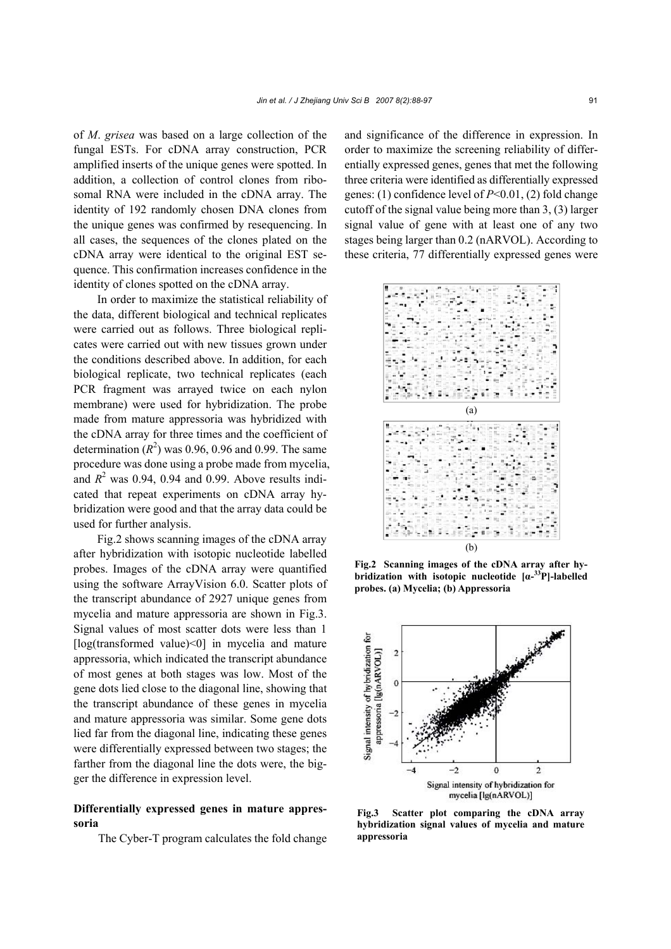of *M*. *grisea* was based on a large collection of the fungal ESTs. For cDNA array construction, PCR amplified inserts of the unique genes were spotted. In addition, a collection of control clones from ribosomal RNA were included in the cDNA array. The identity of 192 randomly chosen DNA clones from the unique genes was confirmed by resequencing. In all cases, the sequences of the clones plated on the cDNA array were identical to the original EST sequence. This confirmation increases confidence in the identity of clones spotted on the cDNA array.

In order to maximize the statistical reliability of the data, different biological and technical replicates were carried out as follows. Three biological replicates were carried out with new tissues grown under the conditions described above. In addition, for each biological replicate, two technical replicates (each PCR fragment was arrayed twice on each nylon membrane) were used for hybridization. The probe made from mature appressoria was hybridized with the cDNA array for three times and the coefficient of determination  $(R^2)$  was 0.96, 0.96 and 0.99. The same procedure was done using a probe made from mycelia, and  $R^2$  was 0.94, 0.94 and 0.99. Above results indicated that repeat experiments on cDNA array hybridization were good and that the array data could be used for further analysis.

Fig.2 shows scanning images of the cDNA array after hybridization with isotopic nucleotide labelled probes. Images of the cDNA array were quantified using the software ArrayVision 6.0. Scatter plots of the transcript abundance of 2927 unique genes from mycelia and mature appressoria are shown in Fig.3. Signal values of most scatter dots were less than 1 [ $log(transformed value) < 0$ ] in mycelia and mature appressoria, which indicated the transcript abundance of most genes at both stages was low. Most of the gene dots lied close to the diagonal line, showing that the transcript abundance of these genes in mycelia and mature appressoria was similar. Some gene dots lied far from the diagonal line, indicating these genes were differentially expressed between two stages; the farther from the diagonal line the dots were, the bigger the difference in expression level.

# **Differentially expressed genes in mature appressoria**

The Cyber-T program calculates the fold change

and significance of the difference in expression. In order to maximize the screening reliability of differentially expressed genes, genes that met the following three criteria were identified as differentially expressed genes: (1) confidence level of *P*<0.01, (2) fold change cutoff of the signal value being more than 3, (3) larger signal value of gene with at least one of any two stages being larger than 0.2 (nARVOL). According to these criteria, 77 differentially expressed genes were



**Fig.2 Scanning images of the cDNA array after hybridization with isotopic nucleotide [α-33P]-labelled probes. (a) Mycelia; (b) Appressoria**



**Fig.3 Scatter plot comparing the cDNA array hybridization signal values of mycelia and mature appressoria**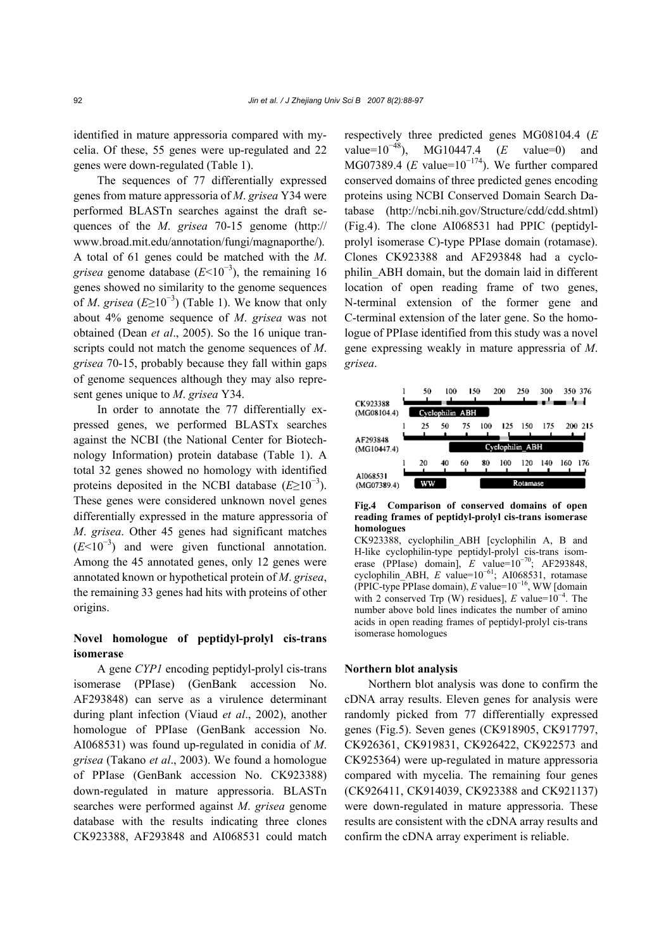identified in mature appressoria compared with mycelia. Of these, 55 genes were up-regulated and 22 genes were down-regulated (Table 1).

The sequences of 77 differentially expressed genes from mature appressoria of *M*. *grisea* Y34 were performed BLASTn searches against the draft sequences of the *M*. *grisea* 70-15 genome (http:// www.broad.mit.edu/annotation/fungi/magnaporthe/). A total of 61 genes could be matched with the *M*. *grisea* genome database  $(E<10^{-3})$ , the remaining 16 genes showed no similarity to the genome sequences of *M. grisea* ( $E \ge 10^{-3}$ ) (Table 1). We know that only about 4% genome sequence of *M*. *grisea* was not obtained (Dean *et al*., 2005). So the 16 unique transcripts could not match the genome sequences of *M*. *grisea* 70-15, probably because they fall within gaps of genome sequences although they may also represent genes unique to *M*. *grisea* Y34.

In order to annotate the 77 differentially expressed genes, we performed BLASTx searches against the NCBI (the National Center for Biotechnology Information) protein database (Table 1). A total 32 genes showed no homology with identified proteins deposited in the NCBI database  $(E \ge 10^{-3})$ . These genes were considered unknown novel genes differentially expressed in the mature appressoria of *M*. *grisea*. Other 45 genes had significant matches  $(E<10<sup>-3</sup>)$  and were given functional annotation. Among the 45 annotated genes, only 12 genes were annotated known or hypothetical protein of *M*. *grisea*, the remaining 33 genes had hits with proteins of other origins.

# **Novel homologue of peptidyl-prolyl cis-trans isomerase**

A gene *CYP1* encoding peptidyl-prolyl cis-trans isomerase (PPIase) (GenBank accession No. AF293848) can serve as a virulence determinant during plant infection (Viaud *et al*., 2002), another homologue of PPIase (GenBank accession No. AI068531) was found up-regulated in conidia of *M*. *grisea* (Takano *et al*., 2003). We found a homologue of PPIase (GenBank accession No. CK923388) down-regulated in mature appressoria. BLASTn searches were performed against *M*. *grisea* genome database with the results indicating three clones CK923388, AF293848 and AI068531 could match

respectively three predicted genes MG08104.4 (*E* value= $10^{-48}$ ), MG10447.4 (*E* value=0) and MG07389.4 (*E* value= $10^{-174}$ ). We further compared conserved domains of three predicted genes encoding proteins using NCBI Conserved Domain Search Database (http://ncbi.nih.gov/Structure/cdd/cdd.shtml) (Fig.4). The clone AI068531 had PPIC (peptidylprolyl isomerase C)-type PPIase domain (rotamase). Clones CK923388 and AF293848 had a cyclophilin\_ABH domain, but the domain laid in different location of open reading frame of two genes, N-terminal extension of the former gene and C-terminal extension of the later gene. So the homologue of PPIase identified from this study was a novel gene expressing weakly in mature appressria of *M*. *grisea*.



**Fig.4 Comparison of conserved domains of open reading frames of peptidyl-prolyl cis-trans isomerase homologues**

CK923388, cyclophilin\_ABH [cyclophilin A, B and H-like cyclophilin-type peptidyl-prolyl cis-trans isomerase (PPIase) domain], *E* value=10<sup>−</sup>70; AF293848, cyclophilin ABH, *E* value= $10^{-61}$ ; AI068531, rotamase (PPIC-type PPIase domain), *E* value=10<sup>−</sup>16, WW [domain with 2 conserved Trp (W) residues],  $E$  value= $10^{-4}$ . The number above bold lines indicates the number of amino acids in open reading frames of peptidyl-prolyl cis-trans isomerase homologues

#### **Northern blot analysis**

Northern blot analysis was done to confirm the cDNA array results. Eleven genes for analysis were randomly picked from 77 differentially expressed genes (Fig.5). Seven genes (CK918905, CK917797, CK926361, CK919831, CK926422, CK922573 and CK925364) were up-regulated in mature appressoria compared with mycelia. The remaining four genes (CK926411, CK914039, CK923388 and CK921137) were down-regulated in mature appressoria. These results are consistent with the cDNA array results and confirm the cDNA array experiment is reliable.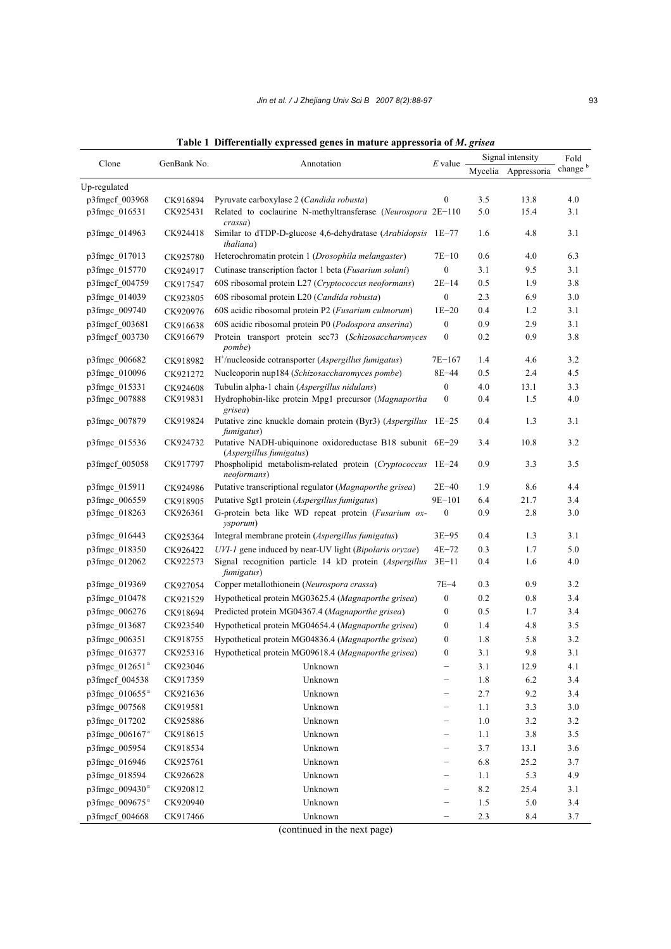| Clone                      | GenBank No. | Annotation                                                                             | E value          | Signal intensity |                     | Fold                |
|----------------------------|-------------|----------------------------------------------------------------------------------------|------------------|------------------|---------------------|---------------------|
|                            |             |                                                                                        |                  |                  | Mycelia Appressoria | change <sup>b</sup> |
| Up-regulated               |             |                                                                                        |                  |                  |                     |                     |
| p3fmgcf 003968             | CK916894    | Pyruvate carboxylase 2 (Candida robusta)                                               | $\mathbf{0}$     | 3.5              | 13.8                | 4.0                 |
| p3fmgc 016531              | CK925431    | Related to coclaurine N-methyltransferase (Neurospora 2E-110                           |                  | 5.0              | 15.4                | 3.1                 |
| p3fmgc 014963              | CK924418    | crassa)<br>Similar to dTDP-D-glucose 4,6-dehydratase (Arabidopsis $1E-77$<br>thaliana) |                  | 1.6              | 4.8                 | 3.1                 |
| p3fmgc 017013              | CK925780    | Heterochromatin protein 1 (Drosophila melangaster)                                     | $7E-10$          | 0.6              | 4.0                 | 6.3                 |
| p3fmgc_015770              | CK924917    | Cutinase transcription factor 1 beta ( <i>Fusarium solani</i> )                        | $\boldsymbol{0}$ | 3.1              | 9.5                 | 3.1                 |
| p3fmgcf 004759             | CK917547    | 60S ribosomal protein L27 (Cryptococcus neoformans)                                    | $2E-14$          | 0.5              | 1.9                 | 3.8                 |
| p3fmgc_014039              | CK923805    | 60S ribosomal protein L20 (Candida robusta)                                            | $\boldsymbol{0}$ | 2.3              | 6.9                 | 3.0                 |
| p3fmgc 009740              | CK920976    | 60S acidic ribosomal protein P2 (Fusarium culmorum)                                    | $1E-20$          | 0.4              | 1.2                 | 3.1                 |
| p3fmgcf 003681             | CK916638    | 60S acidic ribosomal protein P0 (Podospora anserina)                                   | $\boldsymbol{0}$ | 0.9              | 2.9                 | 3.1                 |
| p3fmgcf 003730             | CK916679    | Protein transport protein sec73 (Schizosaccharomyces<br><i>pombe</i> )                 | $\boldsymbol{0}$ | 0.2              | 0.9                 | 3.8                 |
| p3fmgc_006682              | CK918982    | $H+/nucleoside cotransporter (Aspergillus fumigatus)$                                  | $7E-167$         | 1.4              | 4.6                 | 3.2                 |
| p3fmgc 010096              | CK921272    | Nucleoporin nup184 (Schizosaccharomyces pombe)                                         | $8E - 44$        | 0.5              | 2.4                 | 4.5                 |
| p3fmgc_015331              | CK924608    | Tubulin alpha-1 chain (Aspergillus nidulans)                                           | $\boldsymbol{0}$ | 4.0              | 13.1                | 3.3                 |
| p3fmgc_007888              | CK919831    | Hydrophobin-like protein Mpg1 precursor (Magnaportha<br>grisea)                        | $\mathbf{0}$     | 0.4              | 1.5                 | 4.0                 |
| p3fmgc 007879              | CK919824    | Putative zinc knuckle domain protein (Byr3) (Aspergillus 1E-25<br>fumigatus)           |                  | 0.4              | 1.3                 | 3.1                 |
| p3fmgc_015536              | CK924732    | Putative NADH-ubiquinone oxidoreductase B18 subunit 6E-29<br>(Aspergillus fumigatus)   |                  | 3.4              | 10.8                | 3.2                 |
| p3fmgcf 005058             | CK917797    | Phospholipid metabolism-related protein (Cryptococcus 1E-24<br>neoformans)             |                  | 0.9              | 3.3                 | 3.5                 |
| p3fmgc 015911              | CK924986    | Putative transcriptional regulator (Magnaporthe grisea)                                | $2E - 40$        | 1.9              | 8.6                 | 4.4                 |
| p3fmgc_006559              | CK918905    | Putative Sgt1 protein (Aspergillus fumigatus)                                          | $9E-101$         | 6.4              | 21.7                | 3.4                 |
| p3fmgc_018263              | CK926361    | G-protein beta like WD repeat protein (Fusarium ox-<br><i>ysporum</i> )                | $\boldsymbol{0}$ | 0.9              | 2.8                 | 3.0                 |
| p3fmgc 016443              | CK925364    | Integral membrane protein (Aspergillus fumigatus)                                      | $3E-95$          | 0.4              | 1.3                 | 3.1                 |
| p3fmgc_018350              | CK926422    | UVI-1 gene induced by near-UV light (Bipolaris oryzae)                                 | $4E - 72$        | 0.3              | 1.7                 | 5.0                 |
| p3fmgc 012062              | CK922573    | Signal recognition particle 14 kD protein (Aspergillus<br>fumigatus)                   | $3E-11$          | 0.4              | 1.6                 | 4.0                 |
| p3fmgc 019369              | CK927054    | Copper metallothionein (Neurospora crassa)                                             | $7E-4$           | 0.3              | 0.9                 | 3.2                 |
| p3fmgc 010478              | CK921529    | Hypothetical protein MG03625.4 (Magnaporthe grisea)                                    | $\boldsymbol{0}$ | 0.2              | 0.8                 | 3.4                 |
| p3fmgc 006276              | CK918694    | Predicted protein MG04367.4 (Magnaporthe grisea)                                       | $\boldsymbol{0}$ | 0.5              | 1.7                 | 3.4                 |
| p3fmgc 013687              | CK923540    | Hypothetical protein MG04654.4 (Magnaporthe grisea)                                    | 0                | 1.4              | 4.8                 | 3.5                 |
| p3fmgc_006351              | CK918755    | Hypothetical protein MG04836.4 (Magnaporthe grisea)                                    | $\boldsymbol{0}$ | 1.8              | 5.8                 | 3.2                 |
| p3fmgc_016377              | CK925316    | Hypothetical protein MG09618.4 (Magnaporthe grisea)                                    | $\overline{0}$   | 3.1              | 9.8                 | 3.1                 |
| p3fmgc_012651 <sup>a</sup> | CK923046    | Unknown                                                                                | -                | 3.1              | 12.9                | 4.1                 |
| p3fmgcf_004538             | CK917359    | Unknown                                                                                |                  | $1.8\,$          | 6.2                 | 3.4                 |
| p3fmgc_010655 <sup>a</sup> | CK921636    | Unknown                                                                                |                  | 2.7              | 9.2                 | 3.4                 |
| p3fmgc 007568              | CK919581    | Unknown                                                                                |                  | $1.1\,$          | 3.3                 | 3.0                 |
| p3fmgc_017202              | CK925886    | Unknown                                                                                |                  | $1.0\,$          | 3.2                 | 3.2                 |
| p3fmgc_006167 <sup>a</sup> | CK918615    | Unknown                                                                                | -                | 1.1              | 3.8                 | 3.5                 |
| p3fmgc_005954              | CK918534    | Unknown                                                                                | —                | 3.7              | 13.1                | 3.6                 |
| p3fmgc_016946              | CK925761    | Unknown                                                                                | -                | $6.8\,$          | 25.2                | 3.7                 |
| p3fmgc_018594              | CK926628    | Unknown                                                                                |                  | $1.1\,$          | 5.3                 | 4.9                 |
| p3fmgc_009430 <sup>a</sup> | CK920812    | Unknown                                                                                |                  | $8.2\,$          | 25.4                | 3.1                 |
| p3fmgc 009675 <sup>a</sup> | CK920940    | Unknown                                                                                |                  | $1.5\,$          | 5.0                 | 3.4                 |
| p3fmgcf_004668             | CK917466    | Unknown                                                                                |                  | 2.3              | 8.4                 | 3.7                 |

**Table 1 Differentially expressed genes in mature appressoria of** *M***.** *grisea*

(continued in the next page)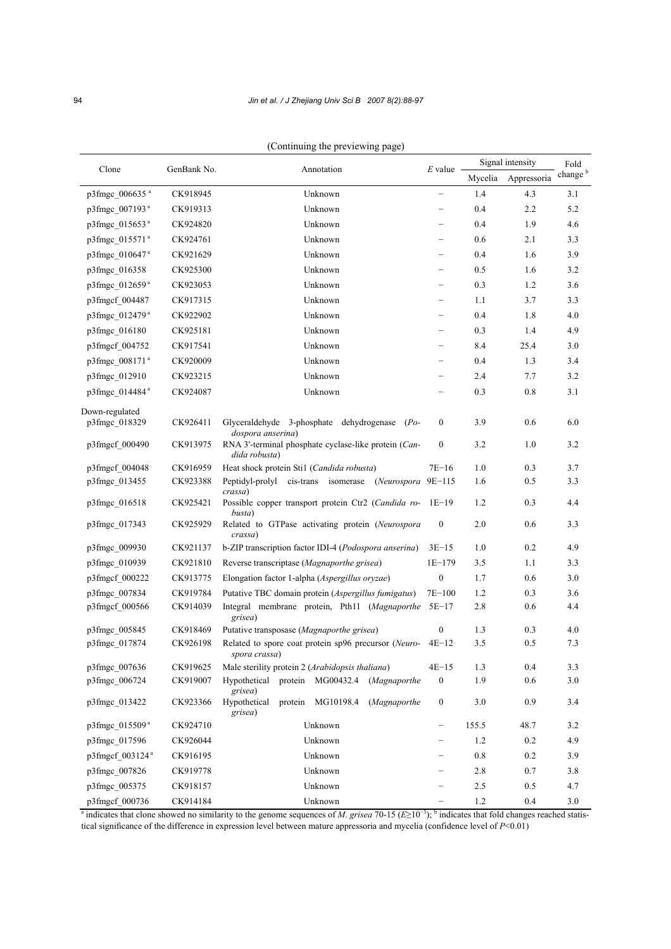| Clone                                                                                                                                                              | GenBank No. | Annotation                                                              | $E$ value $\cdot$        | Signal intensity |             | Fold                |  |
|--------------------------------------------------------------------------------------------------------------------------------------------------------------------|-------------|-------------------------------------------------------------------------|--------------------------|------------------|-------------|---------------------|--|
|                                                                                                                                                                    |             |                                                                         |                          | Mycelia          | Appressoria | change <sup>b</sup> |  |
| p3fmgc 006635 <sup>a</sup>                                                                                                                                         | CK918945    | Unknown                                                                 | $\overline{\phantom{0}}$ | 1.4              | 4.3         | 3.1                 |  |
| p3fmgc_007193 <sup>a</sup>                                                                                                                                         | CK919313    | Unknown                                                                 |                          | 0.4              | 2.2         | 5.2                 |  |
| p3fmgc_015653 <sup>a</sup>                                                                                                                                         | CK924820    | Unknown                                                                 |                          | 0.4              | 1.9         | 4.6                 |  |
| p3fmgc_015571 <sup>a</sup>                                                                                                                                         | CK924761    | Unknown                                                                 |                          | 0.6              | 2.1         | 3.3                 |  |
| p3fmgc_010647 <sup>a</sup>                                                                                                                                         | CK921629    | Unknown                                                                 |                          | 0.4              | 1.6         | 3.9                 |  |
| p3fmgc 016358                                                                                                                                                      | CK925300    | Unknown                                                                 |                          | 0.5              | 1.6         | 3.2                 |  |
| p3fmgc_012659 <sup>a</sup>                                                                                                                                         | CK923053    | Unknown                                                                 |                          | 0.3              | 1.2         | 3.6                 |  |
| p3fmgcf 004487                                                                                                                                                     | CK917315    | Unknown                                                                 | $\overline{\phantom{0}}$ | 1.1              | 3.7         | 3.3                 |  |
| p3fmgc_012479 <sup>a</sup>                                                                                                                                         | CK922902    | Unknown                                                                 |                          | 0.4              | 1.8         | 4.0                 |  |
| p3fmgc_016180                                                                                                                                                      | CK925181    | Unknown                                                                 |                          | 0.3              | 1.4         | 4.9                 |  |
| p3fmgcf 004752                                                                                                                                                     | CK917541    | Unknown                                                                 |                          | 8.4              | 25.4        | 3.0                 |  |
| p3fmgc_008171 <sup>a</sup>                                                                                                                                         | CK920009    | Unknown                                                                 |                          | 0.4              | 1.3         | 3.4                 |  |
| p3fmgc 012910                                                                                                                                                      | CK923215    | Unknown                                                                 |                          | 2.4              | 7.7         | 3.2                 |  |
| p3fmgc_014484 <sup>a</sup>                                                                                                                                         | CK924087    | Unknown                                                                 |                          | 0.3              | 0.8         | 3.1                 |  |
| Down-regulated                                                                                                                                                     |             |                                                                         |                          |                  |             |                     |  |
| p3fmgc 018329                                                                                                                                                      | CK926411    | Glyceraldehyde 3-phosphate dehydrogenase<br>$(Po-$<br>dospora anserina) | $\boldsymbol{0}$         | 3.9              | 0.6         | 6.0                 |  |
| p3fmgcf 000490                                                                                                                                                     | CK913975    | RNA 3'-terminal phosphate cyclase-like protein (Can-<br>dida robusta)   | $\boldsymbol{0}$         | 3.2              | 1.0         | 3.2                 |  |
| p3fmgcf 004048                                                                                                                                                     | CK916959    | Heat shock protein Sti1 (Candida robusta)                               | $7E-16$                  | 1.0              | 0.3         | 3.7                 |  |
| p3fmgc_013455                                                                                                                                                      | CK923388    | Peptidyl-prolyl cis-trans isomerase (Neurospora 9E-115                  |                          | 1.6              | 0.5         | 3.3                 |  |
| p3fmgc 016518                                                                                                                                                      | CK925421    | crassa)<br>Possible copper transport protein Ctr2 (Candida ro-          | $1E-19$                  | 1.2              | 0.3         | 4.4                 |  |
| p3fmgc 017343                                                                                                                                                      | CK925929    | busta)<br>Related to GTPase activating protein (Neurospora<br>crassa)   | $\boldsymbol{0}$         | 2.0              | 0.6         | 3.3                 |  |
| p3fmgc 009930                                                                                                                                                      | CK921137    | b-ZIP transcription factor IDI-4 ( <i>Podospora anserina</i> )          | $3E-15$                  | 1.0              | 0.2         | 4.9                 |  |
| p3fmgc 010939                                                                                                                                                      | CK921810    | Reverse transcriptase (Magnaporthe grisea)                              | $1E-179$                 | 3.5              | 1.1         | 3.3                 |  |
| p3fmgcf_000222                                                                                                                                                     | CK913775    | Elongation factor 1-alpha (Aspergillus oryzae)                          | $\boldsymbol{0}$         | 1.7              | 0.6         | 3.0                 |  |
| p3fmgc_007834                                                                                                                                                      | CK919784    | Putative TBC domain protein (Aspergillus fumigatus)                     | $7E-100$                 | 1.2              | 0.3         | 3.6                 |  |
| p3fmgcf_000566                                                                                                                                                     | CK914039    | Integral membrane protein, Pth11 (Magnaporthe<br>grisea)                | $5E-17$                  | 2.8              | 0.6         | 4.4                 |  |
| p3fmgc 005845                                                                                                                                                      | CK918469    | Putative transposase (Magnaporthe grisea)                               | $\boldsymbol{0}$         | 1.3              | 0.3         | 4.0                 |  |
| p3fmgc_017874                                                                                                                                                      | CK926198    | Related to spore coat protein sp96 precursor (Neuro-<br>spora crassa)   | $4E-12$                  | 3.5              | 0.5         | 7.3                 |  |
| p3fmgc 007636                                                                                                                                                      | CK919625    | Male sterility protein 2 (Arabidopsis thaliana)                         | $4E-15$                  | 1.3              | 0.4         | 3.3                 |  |
| p3fmgc_006724                                                                                                                                                      | CK919007    | Hypothetical protein MG00432.4<br>(Magnaporthe<br>grisea)               | $\boldsymbol{0}$         | 1.9              | 0.6         | 3.0                 |  |
| p3fmgc 013422                                                                                                                                                      | CK923366    | Hypothetical<br>protein MG10198.4<br>(Magnaporthe<br>grisea)            | $\boldsymbol{0}$         | $3.0$            | 0.9         | 3.4                 |  |
| p3fmgc_015509 <sup>a</sup>                                                                                                                                         | CK924710    | Unknown                                                                 | -                        | 155.5            | 48.7        | 3.2                 |  |
| p3fmgc_017596                                                                                                                                                      | CK926044    | Unknown                                                                 |                          | 1.2              | 0.2         | 4.9                 |  |
| p3fmgcf_003124 <sup>a</sup>                                                                                                                                        | CK916195    | Unknown                                                                 |                          | $0.8\,$          | 0.2         | 3.9                 |  |
| p3fmgc_007826                                                                                                                                                      | CK919778    | Unknown                                                                 |                          | 2.8              | 0.7         | 3.8                 |  |
| p3fmgc_005375                                                                                                                                                      | CK918157    | Unknown                                                                 |                          | 2.5              | 0.5         | 4.7                 |  |
| p3fmgcf_000736                                                                                                                                                     | CK914184    | Unknown                                                                 |                          | 1.2              | 0.4         | 3.0                 |  |
| indicates that clone showed no similarity to the genome sequences of M. grisea 70-15 ( $E \ge 10^{-3}$ ); <sup>b</sup> indicates that fold changes reached statis- |             |                                                                         |                          |                  |             |                     |  |

(Continuing the previewing page)

tical significance of the difference in expression level between mature appressoria and mycelia (confidence level of *P*<0.01)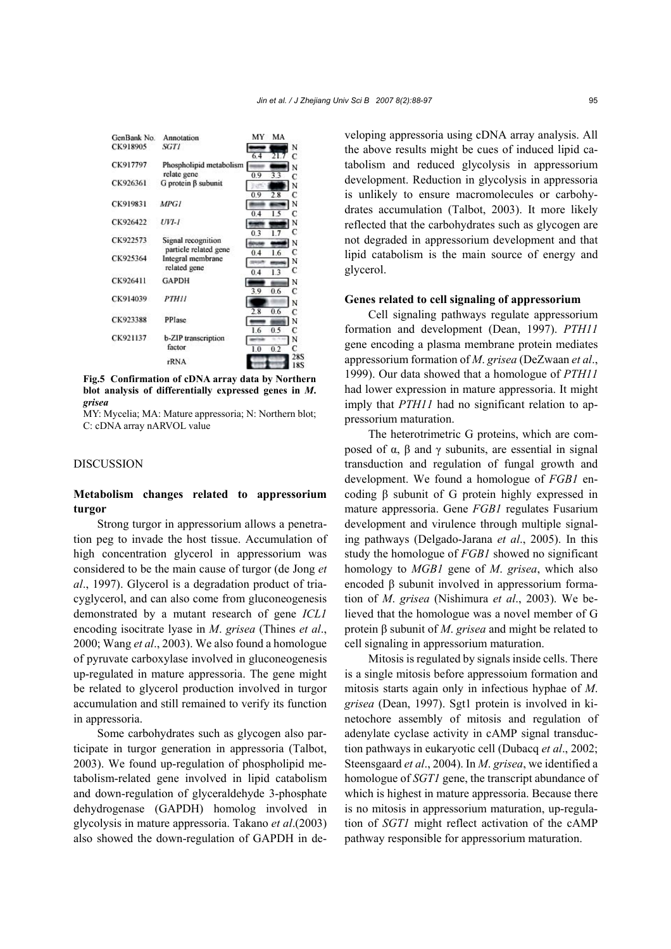| GenBank No. | Annotation                                  | MY             | MA         |             |
|-------------|---------------------------------------------|----------------|------------|-------------|
| CK918905    | <b>SGT1</b>                                 | 6.4            | 21.        | N<br>с      |
| CK917797    | Phospholipid metabolism [<br>relate gene    | 0.9            | 3.3        | N<br>C      |
| CK926361    | G protein ß subunit                         | 0.9            | 28         | N<br>с      |
| CK919831    | <b>MPG1</b>                                 | 0 <sub>4</sub> | 1.5        | N<br>C      |
| CK926422    | UVI-1                                       | 03             |            | N<br>C      |
| CK922573    | Signal recognition<br>particle related gene |                |            | N           |
| CK925364    | Integral membrane<br>related gene           | 0.4<br>0.4     | 1.6<br>1.3 | с<br>N<br>C |
| CK926411    | <b>GAPDH</b>                                | 3.9            | 0.6        | N<br>C      |
| CK914039    | PTH11                                       |                |            | N           |
| CK923388    | PPIase                                      | 2.8            | 0.6        | C<br>N      |
| CK921137    | b-ZIP transcription<br>factor               | 1.6<br>1.0     | 0.5<br>0.2 | C<br>N<br>С |
|             | rRNA                                        |                |            | 28S<br>85   |

**Fig.5 Confirmation of cDNA array data by Northern blot analysis of differentially expressed genes in** *M***.**  *grisea*

MY: Mycelia; MA: Mature appressoria; N: Northern blot; C: cDNA array nARVOL value

# **DISCUSSION**

# **Metabolism changes related to appressorium turgor**

Strong turgor in appressorium allows a penetration peg to invade the host tissue. Accumulation of high concentration glycerol in appressorium was considered to be the main cause of turgor (de Jong *et al*., 1997). Glycerol is a degradation product of triacyglycerol, and can also come from gluconeogenesis demonstrated by a mutant research of gene *ICL1* encoding isocitrate lyase in *M*. *grisea* (Thines *et al*., 2000; Wang *et al*., 2003). We also found a homologue of pyruvate carboxylase involved in gluconeogenesis up-regulated in mature appressoria. The gene might be related to glycerol production involved in turgor accumulation and still remained to verify its function in appressoria.

Some carbohydrates such as glycogen also participate in turgor generation in appressoria (Talbot, 2003). We found up-regulation of phospholipid metabolism-related gene involved in lipid catabolism and down-regulation of glyceraldehyde 3-phosphate dehydrogenase (GAPDH) homolog involved in glycolysis in mature appressoria. Takano *et al*.(2003) also showed the down-regulation of GAPDH in developing appressoria using cDNA array analysis. All the above results might be cues of induced lipid catabolism and reduced glycolysis in appressorium development. Reduction in glycolysis in appressoria is unlikely to ensure macromolecules or carbohydrates accumulation (Talbot, 2003). It more likely reflected that the carbohydrates such as glycogen are not degraded in appressorium development and that lipid catabolism is the main source of energy and glycerol.

#### **Genes related to cell signaling of appressorium**

Cell signaling pathways regulate appressorium formation and development (Dean, 1997). *PTH11*  gene encoding a plasma membrane protein mediates appressorium formation of *M*. *grisea* (DeZwaan *et al*., 1999). Our data showed that a homologue of *PTH11* had lower expression in mature appressoria. It might imply that *PTH11* had no significant relation to appressorium maturation.

The heterotrimetric G proteins, which are composed of  $\alpha$ ,  $\beta$  and  $\gamma$  subunits, are essential in signal transduction and regulation of fungal growth and development. We found a homologue of *FGB1* encoding β subunit of G protein highly expressed in mature appressoria. Gene *FGB1* regulates Fusarium development and virulence through multiple signaling pathways (Delgado-Jarana *et al*., 2005). In this study the homologue of *FGB1* showed no significant homology to *MGB1* gene of *M*. *grisea*, which also encoded β subunit involved in appressorium formation of *M*. *grisea* (Nishimura *et al*., 2003). We believed that the homologue was a novel member of G protein β subunit of *M*. *grisea* and might be related to cell signaling in appressorium maturation.

Mitosis is regulated by signals inside cells. There is a single mitosis before appressoium formation and mitosis starts again only in infectious hyphae of *M*. *grisea* (Dean, 1997). Sgt1 protein is involved in kinetochore assembly of mitosis and regulation of adenylate cyclase activity in cAMP signal transduction pathways in eukaryotic cell (Dubacq *et al*., 2002; Steensgaard *et al*., 2004). In *M*. *grisea*, we identified a homologue of *SGT1* gene, the transcript abundance of which is highest in mature appressoria. Because there is no mitosis in appressorium maturation, up-regulation of *SGT1* might reflect activation of the cAMP pathway responsible for appressorium maturation.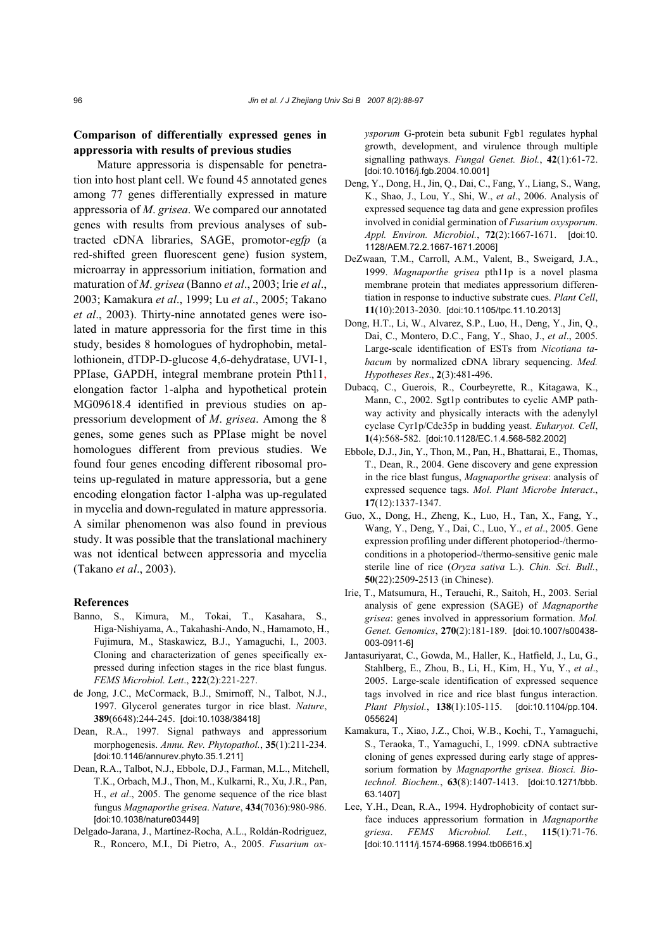# **Comparison of differentially expressed genes in appressoria with results of previous studies**

Mature appressoria is dispensable for penetration into host plant cell. We found 45 annotated genes among 77 genes differentially expressed in mature appressoria of *M*. *grisea*. We compared our annotated genes with results from previous analyses of subtracted cDNA libraries, SAGE, promotor-*egfp* (a red-shifted green fluorescent gene) fusion system, microarray in appressorium initiation, formation and maturation of *M*. *grisea* (Banno *et al*., 2003; Irie *et al*., 2003; Kamakura *et al*., 1999; Lu *et al*., 2005; Takano *et al*., 2003). Thirty-nine annotated genes were isolated in mature appressoria for the first time in this study, besides 8 homologues of hydrophobin, metallothionein, dTDP-D-glucose 4,6-dehydratase, UVI-1, PPIase, GAPDH, integral membrane protein Pth11, elongation factor 1-alpha and hypothetical protein MG09618.4 identified in previous studies on appressorium development of *M*. *grisea*. Among the 8 genes, some genes such as PPIase might be novel homologues different from previous studies. We found four genes encoding different ribosomal proteins up-regulated in mature appressoria, but a gene encoding elongation factor 1-alpha was up-regulated in mycelia and down-regulated in mature appressoria. A similar phenomenon was also found in previous study. It was possible that the translational machinery was not identical between appressoria and mycelia (Takano *et al*., 2003).

#### **References**

- Banno, S., Kimura, M., Tokai, T., Kasahara, S., Higa-Nishiyama, A., Takahashi-Ando, N., Hamamoto, H., Fujimura, M., Staskawicz, B.J., Yamaguchi, I., 2003. Cloning and characterization of genes specifically expressed during infection stages in the rice blast fungus. *FEMS Microbiol. Lett*., **222**(2):221-227.
- de Jong, J.C., McCormack, B.J., Smirnoff, N., Talbot, N.J., 1997. Glycerol generates turgor in rice blast. *Nature*, **389**(6648):244-245. [doi:10.1038/38418]
- Dean, R.A., 1997. Signal pathways and appressorium morphogenesis. *Annu. Rev. Phytopathol.*, **35**(1):211-234. [doi:10.1146/annurev.phyto.35.1.211]
- Dean, R.A., Talbot, N.J., Ebbole, D.J., Farman, M.L., Mitchell, T.K., Orbach, M.J., Thon, M., Kulkarni, R., Xu, J.R., Pan, H., *et al*., 2005. The genome sequence of the rice blast fungus *Magnaporthe grisea*. *Nature*, **434**(7036):980-986. [doi:10.1038/nature03449]
- Delgado-Jarana, J., Martínez-Rocha, A.L., Roldán-Rodriguez, R., Roncero, M.I., Di Pietro, A., 2005. *Fusarium ox-*

*ysporum* G-protein beta subunit Fgb1 regulates hyphal growth, development, and virulence through multiple signalling pathways. *Fungal Genet. Biol.*, **42**(1):61-72. [doi:10.1016/j.fgb.2004.10.001]

- Deng, Y., Dong, H., Jin, Q., Dai, C., Fang, Y., Liang, S., Wang, K., Shao, J., Lou, Y., Shi, W., *et al*., 2006. Analysis of expressed sequence tag data and gene expression profiles involved in conidial germination of *Fusarium oxysporum*. *Appl. Environ. Microbiol.*, **72**(2):1667-1671. [doi:10. 1128/AEM.72.2.1667-1671.2006]
- DeZwaan, T.M., Carroll, A.M., Valent, B., Sweigard, J.A., 1999. *Magnaporthe grisea* pth11p is a novel plasma membrane protein that mediates appressorium differentiation in response to inductive substrate cues. *Plant Cell*, **11**(10):2013-2030. [doi:10.1105/tpc.11.10.2013]
- Dong, H.T., Li, W., Alvarez, S.P., Luo, H., Deng, Y., Jin, Q., Dai, C., Montero, D.C., Fang, Y., Shao, J., *et al*., 2005. Large-scale identification of ESTs from *Nicotiana tabacum* by normalized cDNA library sequencing. *Med. Hypotheses Res*., **2**(3):481-496.
- Dubacq, C., Guerois, R., Courbeyrette, R., Kitagawa, K., Mann, C., 2002. Sgt1p contributes to cyclic AMP pathway activity and physically interacts with the adenylyl cyclase Cyr1p/Cdc35p in budding yeast. *Eukaryot. Cell*, **1**(4):568-582. [doi:10.1128/EC.1.4.568-582.2002]
- Ebbole, D.J., Jin, Y., Thon, M., Pan, H., Bhattarai, E., Thomas, T., Dean, R., 2004. Gene discovery and gene expression in the rice blast fungus, *Magnaporthe grisea*: analysis of expressed sequence tags. *Mol. Plant Microbe Interact*., **17**(12):1337-1347.
- Guo, X., Dong, H., Zheng, K., Luo, H., Tan, X., Fang, Y., Wang, Y., Deng, Y., Dai, C., Luo, Y., *et al*., 2005. Gene expression profiling under different photoperiod-/thermoconditions in a photoperiod-/thermo-sensitive genic male sterile line of rice (*Oryza sativa* L.). *Chin. Sci. Bull.*, **50**(22):2509-2513 (in Chinese).
- Irie, T., Matsumura, H., Terauchi, R., Saitoh, H., 2003. Serial analysis of gene expression (SAGE) of *Magnaporthe grisea*: genes involved in appressorium formation. *Mol. Genet. Genomics*, **270**(2):181-189. [doi:10.1007/s00438- 003-0911-6]
- Jantasuriyarat, C., Gowda, M., Haller, K., Hatfield, J., Lu, G., Stahlberg, E., Zhou, B., Li, H., Kim, H., Yu, Y., *et al*., 2005. Large-scale identification of expressed sequence tags involved in rice and rice blast fungus interaction. *Plant Physiol.*, **138**(1):105-115. [doi:10.1104/pp.104. 055624]
- Kamakura, T., Xiao, J.Z., Choi, W.B., Kochi, T., Yamaguchi, S., Teraoka, T., Yamaguchi, I., 1999. cDNA subtractive cloning of genes expressed during early stage of appressorium formation by *Magnaporthe grisea*. *Biosci. Biotechnol. Biochem.*, **63**(8):1407-1413. [doi:10.1271/bbb. 63.1407]
- Lee, Y.H., Dean, R.A., 1994. Hydrophobicity of contact surface induces appressorium formation in *Magnaporthe griesa*. *FEMS Microbiol. Lett.*, **115**(1):71-76. [doi:10.1111/j.1574-6968.1994.tb06616.x]